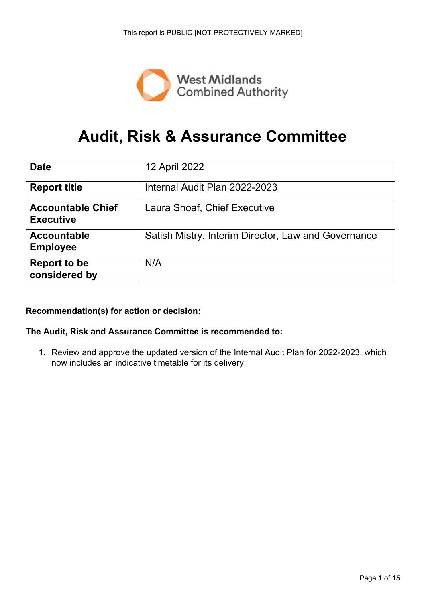

# **Audit, Risk & Assurance Committee**

| <b>Date</b>                                  | 12 April 2022                                       |
|----------------------------------------------|-----------------------------------------------------|
| <b>Report title</b>                          | Internal Audit Plan 2022-2023                       |
| <b>Accountable Chief</b><br><b>Executive</b> | Laura Shoaf, Chief Executive                        |
| <b>Accountable</b><br><b>Employee</b>        | Satish Mistry, Interim Director, Law and Governance |
| <b>Report to be</b><br>considered by         | N/A                                                 |

#### **Recommendation(s) for action or decision:**

#### **The Audit, Risk and Assurance Committee is recommended to:**

1. Review and approve the updated version of the Internal Audit Plan for 2022-2023, which now includes an indicative timetable for its delivery.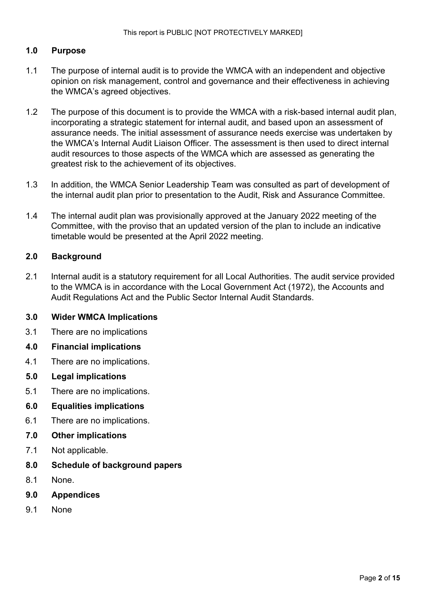#### **1.0 Purpose**

- 1.1 The purpose of internal audit is to provide the WMCA with an independent and objective opinion on risk management, control and governance and their effectiveness in achieving the WMCA's agreed objectives.
- 1.2 The purpose of this document is to provide the WMCA with a risk-based internal audit plan, incorporating a strategic statement for internal audit, and based upon an assessment of assurance needs. The initial assessment of assurance needs exercise was undertaken by the WMCA's Internal Audit Liaison Officer. The assessment is then used to direct internal audit resources to those aspects of the WMCA which are assessed as generating the greatest risk to the achievement of its objectives.
- 1.3 In addition, the WMCA Senior Leadership Team was consulted as part of development of the internal audit plan prior to presentation to the Audit, Risk and Assurance Committee.
- 1.4 The internal audit plan was provisionally approved at the January 2022 meeting of the Committee, with the proviso that an updated version of the plan to include an indicative timetable would be presented at the April 2022 meeting.

#### **2.0 Background**

2.1 Internal audit is a statutory requirement for all Local Authorities. The audit service provided to the WMCA is in accordance with the Local Government Act (1972), the Accounts and Audit Regulations Act and the Public Sector Internal Audit Standards.

#### **3.0 Wider WMCA Implications**

- 3.1 There are no implications
- **4.0 Financial implications**
- 4.1 There are no implications.
- **5.0 Legal implications**
- 5.1 There are no implications.

#### **6.0 Equalities implications**

- 6.1 There are no implications.
- **7.0 Other implications**
- 7.1 Not applicable.
- **8.0 Schedule of background papers**
- 8.1 None.
- **9.0 Appendices**
- 9.1 None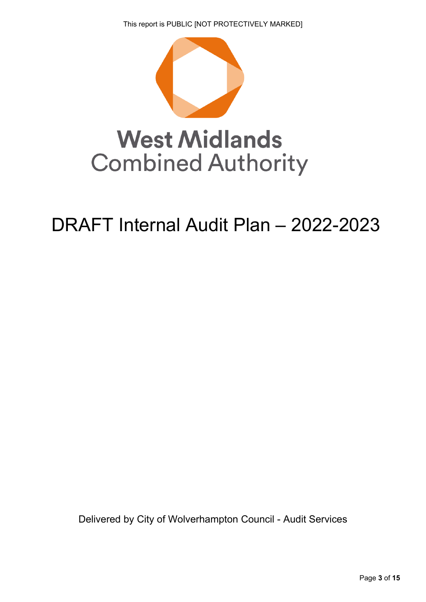

# DRAFT Internal Audit Plan – 2022-2023

Delivered by City of Wolverhampton Council - Audit Services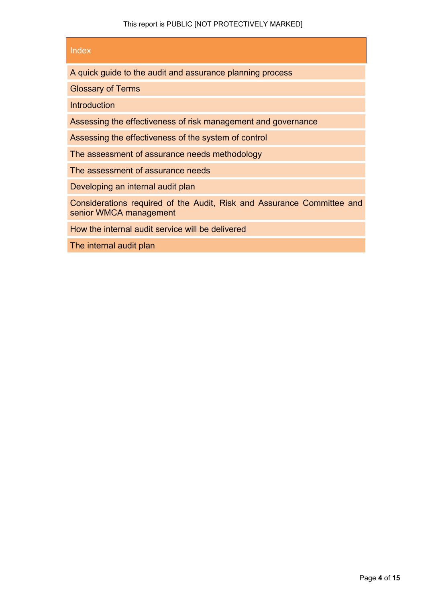#### Index

A quick guide to the audit and assurance planning process

Glossary of Terms

Introduction

Assessing the effectiveness of risk management and governance

Assessing the effectiveness of the system of control

The assessment of assurance needs methodology

The assessment of assurance needs

Developing an internal audit plan

Considerations required of the Audit, Risk and Assurance Committee and senior WMCA management

How the internal audit service will be delivered

The internal audit plan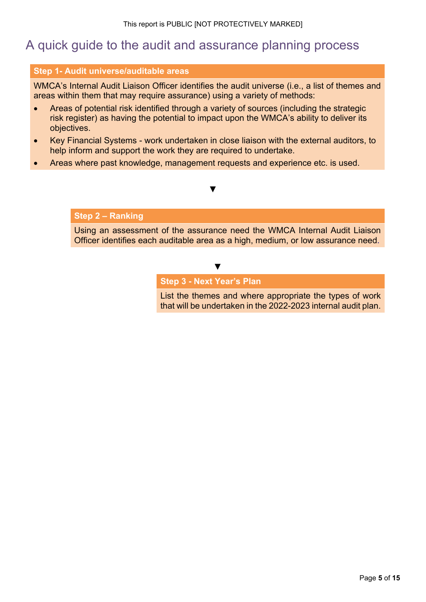### A quick guide to the audit and assurance planning process

#### **Step 1- Audit universe/auditable areas**

WMCA's Internal Audit Liaison Officer identifies the audit universe (i.e., a list of themes and areas within them that may require assurance) using a variety of methods:

- Areas of potential risk identified through a variety of sources (including the strategic risk register) as having the potential to impact upon the WMCA's ability to deliver its objectives.
- Key Financial Systems work undertaken in close liaison with the external auditors, to help inform and support the work they are required to undertake.

**▼**

Areas where past knowledge, management requests and experience etc. is used.

#### **Step 2 – Ranking**

Using an assessment of the assurance need the WMCA Internal Audit Liaison Officer identifies each auditable area as a high, medium, or low assurance need.

#### **▼**

**Step 3 - Next Year's Plan**

List the themes and where appropriate the types of work that will be undertaken in the 2022-2023 internal audit plan.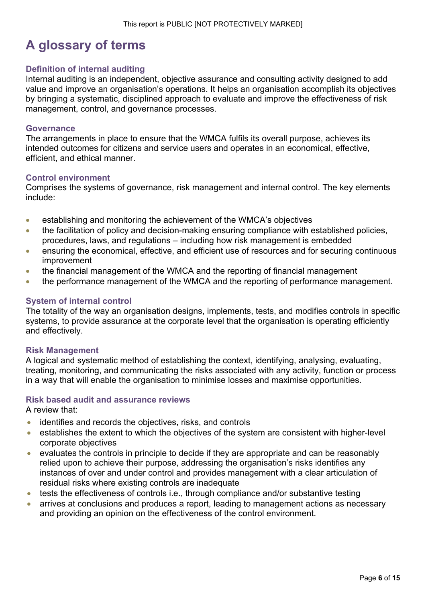# **A glossary of terms**

#### **Definition of internal auditing**

Internal auditing is an independent, objective assurance and consulting activity designed to add value and improve an organisation's operations. It helps an organisation accomplish its objectives by bringing a systematic, disciplined approach to evaluate and improve the effectiveness of risk management, control, and governance processes.

#### **Governance**

The arrangements in place to ensure that the WMCA fulfils its overall purpose, achieves its intended outcomes for citizens and service users and operates in an economical, effective, efficient, and ethical manner.

#### **Control environment**

Comprises the systems of governance, risk management and internal control. The key elements include:

- establishing and monitoring the achievement of the WMCA's objectives
- the facilitation of policy and decision-making ensuring compliance with established policies, procedures, laws, and regulations – including how risk management is embedded
- ensuring the economical, effective, and efficient use of resources and for securing continuous improvement
- the financial management of the WMCA and the reporting of financial management
- the performance management of the WMCA and the reporting of performance management.

#### **System of internal control**

The totality of the way an organisation designs, implements, tests, and modifies controls in specific systems, to provide assurance at the corporate level that the organisation is operating efficiently and effectively.

#### **Risk Management**

A logical and systematic method of establishing the context, identifying, analysing, evaluating, treating, monitoring, and communicating the risks associated with any activity, function or process in a way that will enable the organisation to minimise losses and maximise opportunities.

#### **Risk based audit and assurance reviews**

A review that:

- identifies and records the objectives, risks, and controls
- establishes the extent to which the objectives of the system are consistent with higher-level corporate objectives
- evaluates the controls in principle to decide if they are appropriate and can be reasonably relied upon to achieve their purpose, addressing the organisation's risks identifies any instances of over and under control and provides management with a clear articulation of residual risks where existing controls are inadequate
- tests the effectiveness of controls i.e., through compliance and/or substantive testing
- arrives at conclusions and produces a report, leading to management actions as necessary and providing an opinion on the effectiveness of the control environment.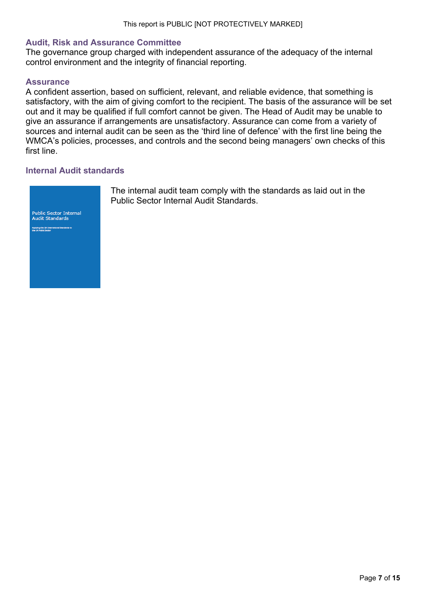#### **Audit, Risk and Assurance Committee**

The governance group charged with independent assurance of the adequacy of the internal control environment and the integrity of financial reporting.

#### **Assurance**

A confident assertion, based on sufficient, relevant, and reliable evidence, that something is satisfactory, with the aim of giving comfort to the recipient. The basis of the assurance will be set out and it may be qualified if full comfort cannot be given. The Head of Audit may be unable to give an assurance if arrangements are unsatisfactory. Assurance can come from a variety of sources and internal audit can be seen as the 'third line of defence' with the first line being the WMCA's policies, processes, and controls and the second being managers' own checks of this first line.

#### **Internal Audit standards**



The internal audit team comply with the standards as laid out in the Public Sector Internal Audit Standards.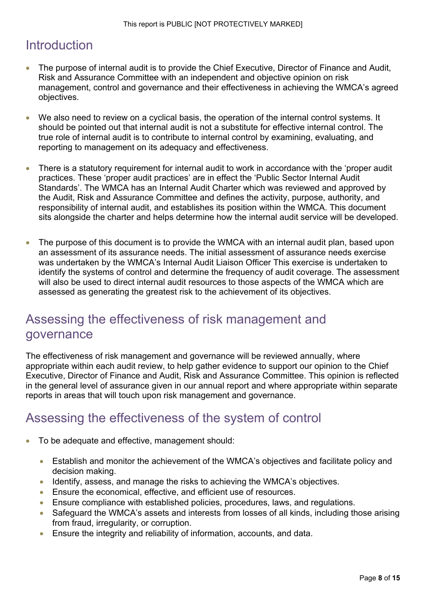# Introduction

- The purpose of internal audit is to provide the Chief Executive, Director of Finance and Audit, Risk and Assurance Committee with an independent and objective opinion on risk management, control and governance and their effectiveness in achieving the WMCA's agreed objectives.
- We also need to review on a cyclical basis, the operation of the internal control systems. It should be pointed out that internal audit is not a substitute for effective internal control. The true role of internal audit is to contribute to internal control by examining, evaluating, and reporting to management on its adequacy and effectiveness.
- There is a statutory requirement for internal audit to work in accordance with the 'proper audit practices. These 'proper audit practices' are in effect the 'Public Sector Internal Audit Standards'. The WMCA has an Internal Audit Charter which was reviewed and approved by the Audit, Risk and Assurance Committee and defines the activity, purpose, authority, and responsibility of internal audit, and establishes its position within the WMCA. This document sits alongside the charter and helps determine how the internal audit service will be developed.
- The purpose of this document is to provide the WMCA with an internal audit plan, based upon an assessment of its assurance needs. The initial assessment of assurance needs exercise was undertaken by the WMCA's Internal Audit Liaison Officer This exercise is undertaken to identify the systems of control and determine the frequency of audit coverage. The assessment will also be used to direct internal audit resources to those aspects of the WMCA which are assessed as generating the greatest risk to the achievement of its objectives.

### Assessing the effectiveness of risk management and governance

The effectiveness of risk management and governance will be reviewed annually, where appropriate within each audit review, to help gather evidence to support our opinion to the Chief Executive, Director of Finance and Audit, Risk and Assurance Committee. This opinion is reflected in the general level of assurance given in our annual report and where appropriate within separate reports in areas that will touch upon risk management and governance.

# Assessing the effectiveness of the system of control

- To be adequate and effective, management should:
	- Establish and monitor the achievement of the WMCA's objectives and facilitate policy and decision making.
	- Identify, assess, and manage the risks to achieving the WMCA's objectives.
	- Ensure the economical, effective, and efficient use of resources.
	- Ensure compliance with established policies, procedures, laws, and regulations.
	- Safeguard the WMCA's assets and interests from losses of all kinds, including those arising from fraud, irregularity, or corruption.
	- Ensure the integrity and reliability of information, accounts, and data.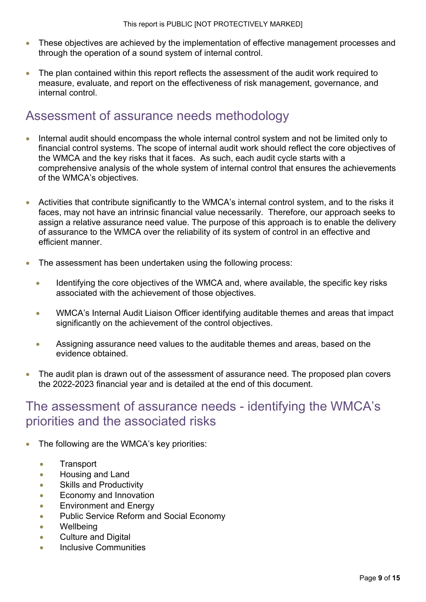- These objectives are achieved by the implementation of effective management processes and through the operation of a sound system of internal control.
- The plan contained within this report reflects the assessment of the audit work required to measure, evaluate, and report on the effectiveness of risk management, governance, and internal control.

### Assessment of assurance needs methodology

- Internal audit should encompass the whole internal control system and not be limited only to financial control systems. The scope of internal audit work should reflect the core objectives of the WMCA and the key risks that it faces. As such, each audit cycle starts with a comprehensive analysis of the whole system of internal control that ensures the achievements of the WMCA's objectives.
- Activities that contribute significantly to the WMCA's internal control system, and to the risks it faces, may not have an intrinsic financial value necessarily. Therefore, our approach seeks to assign a relative assurance need value. The purpose of this approach is to enable the delivery of assurance to the WMCA over the reliability of its system of control in an effective and efficient manner.
- The assessment has been undertaken using the following process:
	- Identifying the core objectives of the WMCA and, where available, the specific key risks associated with the achievement of those objectives.
	- WMCA's Internal Audit Liaison Officer identifying auditable themes and areas that impact significantly on the achievement of the control objectives.
	- Assigning assurance need values to the auditable themes and areas, based on the evidence obtained.
- The audit plan is drawn out of the assessment of assurance need. The proposed plan covers the 2022-2023 financial year and is detailed at the end of this document.

### The assessment of assurance needs - identifying the WMCA's priorities and the associated risks

- The following are the WMCA's key priorities:
	- Transport
	- Housing and Land
	- **•** Skills and Productivity
	- Economy and Innovation
	- **Environment and Energy**
	- Public Service Reform and Social Economy
	- Wellbeing
	- Culture and Digital
	- Inclusive Communities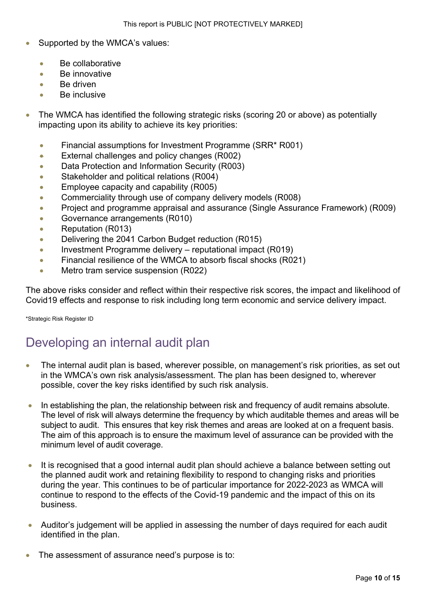- Supported by the WMCA's values:
	- $\bullet$  Be collaborative
	- Be innovative
	- Be driven
	- Be inclusive
- The WMCA has identified the following strategic risks (scoring 20 or above) as potentially impacting upon its ability to achieve its key priorities:
	- Financial assumptions for Investment Programme (SRR\* R001)
	- **External challenges and policy changes (R002)**
	- Data Protection and Information Security (R003)
	- **Stakeholder and political relations (R004)**
	- **Employee capacity and capability (R005)**
	- Commerciality through use of company delivery models (R008)
	- Project and programme appraisal and assurance (Single Assurance Framework) (R009)
	- Governance arrangements (R010)
	- Reputation (R013)
	- Delivering the 2041 Carbon Budget reduction (R015)
	- Investment Programme delivery reputational impact (R019)
	- **Financial resilience of the WMCA to absorb fiscal shocks (R021)**
	- **Metro tram service suspension (R022)**

The above risks consider and reflect within their respective risk scores, the impact and likelihood of Covid19 effects and response to risk including long term economic and service delivery impact.

\*Strategic Risk Register ID

### Developing an internal audit plan

- The internal audit plan is based, wherever possible, on management's risk priorities, as set out in the WMCA's own risk analysis/assessment. The plan has been designed to, wherever possible, cover the key risks identified by such risk analysis.
- In establishing the plan, the relationship between risk and frequency of audit remains absolute. The level of risk will always determine the frequency by which auditable themes and areas will be subject to audit. This ensures that key risk themes and areas are looked at on a frequent basis. The aim of this approach is to ensure the maximum level of assurance can be provided with the minimum level of audit coverage.
- It is recognised that a good internal audit plan should achieve a balance between setting out the planned audit work and retaining flexibility to respond to changing risks and priorities during the year. This continues to be of particular importance for 2022-2023 as WMCA will continue to respond to the effects of the Covid-19 pandemic and the impact of this on its business.
- Auditor's judgement will be applied in assessing the number of days required for each audit identified in the plan.
- The assessment of assurance need's purpose is to: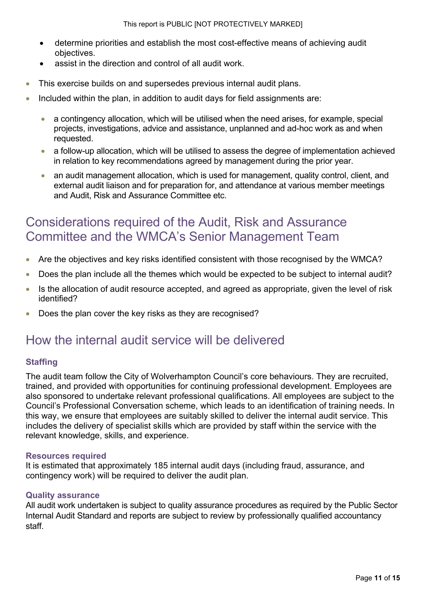- determine priorities and establish the most cost-effective means of achieving audit objectives.
- assist in the direction and control of all audit work.
- This exercise builds on and supersedes previous internal audit plans.
- Included within the plan, in addition to audit days for field assignments are:
	- a contingency allocation, which will be utilised when the need arises, for example, special projects, investigations, advice and assistance, unplanned and ad-hoc work as and when requested.
	- a follow-up allocation, which will be utilised to assess the degree of implementation achieved in relation to key recommendations agreed by management during the prior year.
	- an audit management allocation, which is used for management, quality control, client, and external audit liaison and for preparation for, and attendance at various member meetings and Audit, Risk and Assurance Committee etc.

# Considerations required of the Audit, Risk and Assurance Committee and the WMCA's Senior Management Team

- Are the objectives and key risks identified consistent with those recognised by the WMCA?
- Does the plan include all the themes which would be expected to be subject to internal audit?
- Is the allocation of audit resource accepted, and agreed as appropriate, given the level of risk identified?
- Does the plan cover the key risks as they are recognised?

### How the internal audit service will be delivered

#### **Staffing**

The audit team follow the City of Wolverhampton Council's core behaviours. They are recruited, trained, and provided with opportunities for continuing professional development. Employees are also sponsored to undertake relevant professional qualifications. All employees are subject to the Council's Professional Conversation scheme, which leads to an identification of training needs. In this way, we ensure that employees are suitably skilled to deliver the internal audit service. This includes the delivery of specialist skills which are provided by staff within the service with the relevant knowledge, skills, and experience.

#### **Resources required**

It is estimated that approximately 185 internal audit days (including fraud, assurance, and contingency work) will be required to deliver the audit plan.

#### **Quality assurance**

All audit work undertaken is subiect to quality assurance procedures as required by the Public Sector Internal Audit Standard and reports are subject to review by professionally qualified accountancy staff.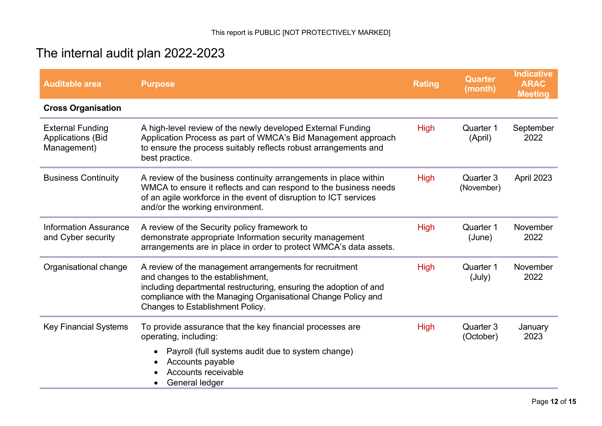# The internal audit plan 2022-2023

| <b>Auditable area</b>                                              | <b>Purpose</b>                                                                                                                                                                                                                                                          | <b>Rating</b> | <b>Quarter</b><br>(month) | <b>Indicative</b><br><b>ARAC</b><br><b>Meeting</b> |
|--------------------------------------------------------------------|-------------------------------------------------------------------------------------------------------------------------------------------------------------------------------------------------------------------------------------------------------------------------|---------------|---------------------------|----------------------------------------------------|
| <b>Cross Organisation</b>                                          |                                                                                                                                                                                                                                                                         |               |                           |                                                    |
| <b>External Funding</b><br><b>Applications (Bid</b><br>Management) | A high-level review of the newly developed External Funding<br>Application Process as part of WMCA's Bid Management approach<br>to ensure the process suitably reflects robust arrangements and<br>best practice.                                                       | <b>High</b>   | Quarter 1<br>(April)      | September<br>2022                                  |
| <b>Business Continuity</b>                                         | A review of the business continuity arrangements in place within<br>WMCA to ensure it reflects and can respond to the business needs<br>of an agile workforce in the event of disruption to ICT services<br>and/or the working environment.                             | <b>High</b>   | Quarter 3<br>(November)   | April 2023                                         |
| <b>Information Assurance</b><br>and Cyber security                 | A review of the Security policy framework to<br>demonstrate appropriate Information security management<br>arrangements are in place in order to protect WMCA's data assets.                                                                                            | <b>High</b>   | Quarter 1<br>(June)       | November<br>2022                                   |
| Organisational change                                              | A review of the management arrangements for recruitment<br>and changes to the establishment,<br>including departmental restructuring, ensuring the adoption of and<br>compliance with the Managing Organisational Change Policy and<br>Changes to Establishment Policy. | <b>High</b>   | Quarter 1<br>(July)       | November<br>2022                                   |
| <b>Key Financial Systems</b>                                       | To provide assurance that the key financial processes are<br>operating, including:<br>Payroll (full systems audit due to system change)<br>Accounts payable<br>Accounts receivable<br>General ledger                                                                    | <b>High</b>   | Quarter 3<br>(October)    | January<br>2023                                    |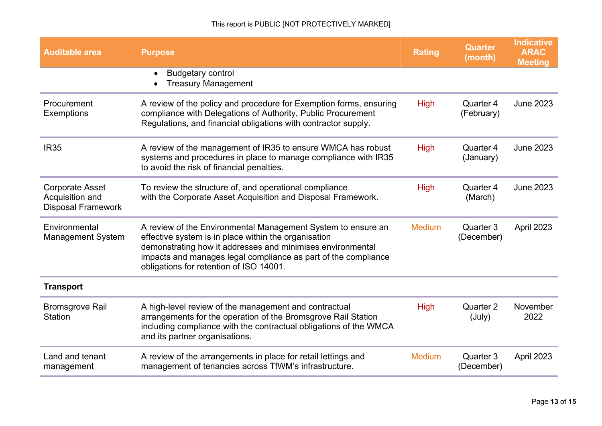| <b>Auditable area</b>                                                  | <b>Purpose</b>                                                                                                                                                                                                                                                                                  | <b>Rating</b> | <b>Quarter</b><br>(month) | <b>Indicative</b><br><b>ARAC</b><br><b>Meeting</b> |
|------------------------------------------------------------------------|-------------------------------------------------------------------------------------------------------------------------------------------------------------------------------------------------------------------------------------------------------------------------------------------------|---------------|---------------------------|----------------------------------------------------|
|                                                                        | <b>Budgetary control</b><br>$\bullet$<br><b>Treasury Management</b>                                                                                                                                                                                                                             |               |                           |                                                    |
| Procurement<br>Exemptions                                              | A review of the policy and procedure for Exemption forms, ensuring<br>compliance with Delegations of Authority, Public Procurement<br>Regulations, and financial obligations with contractor supply.                                                                                            | <b>High</b>   | Quarter 4<br>(February)   | <b>June 2023</b>                                   |
| <b>IR35</b>                                                            | A review of the management of IR35 to ensure WMCA has robust<br>systems and procedures in place to manage compliance with IR35<br>to avoid the risk of financial penalties.                                                                                                                     | <b>High</b>   | Quarter 4<br>(January)    | <b>June 2023</b>                                   |
| <b>Corporate Asset</b><br>Acquisition and<br><b>Disposal Framework</b> | To review the structure of, and operational compliance<br>with the Corporate Asset Acquisition and Disposal Framework.                                                                                                                                                                          | <b>High</b>   | Quarter 4<br>(March)      | <b>June 2023</b>                                   |
| Environmental<br><b>Management System</b>                              | A review of the Environmental Management System to ensure an<br>effective system is in place within the organisation<br>demonstrating how it addresses and minimises environmental<br>impacts and manages legal compliance as part of the compliance<br>obligations for retention of ISO 14001. | <b>Medium</b> | Quarter 3<br>(December)   | April 2023                                         |
| <b>Transport</b>                                                       |                                                                                                                                                                                                                                                                                                 |               |                           |                                                    |
| <b>Bromsgrove Rail</b><br>Station                                      | A high-level review of the management and contractual<br>arrangements for the operation of the Bromsgrove Rail Station<br>including compliance with the contractual obligations of the WMCA<br>and its partner organisations.                                                                   | <b>High</b>   | Quarter 2<br>(July)       | November<br>2022                                   |
| Land and tenant<br>management                                          | A review of the arrangements in place for retail lettings and<br>management of tenancies across TfWM's infrastructure.                                                                                                                                                                          | <b>Medium</b> | Quarter 3<br>(December)   | April 2023                                         |